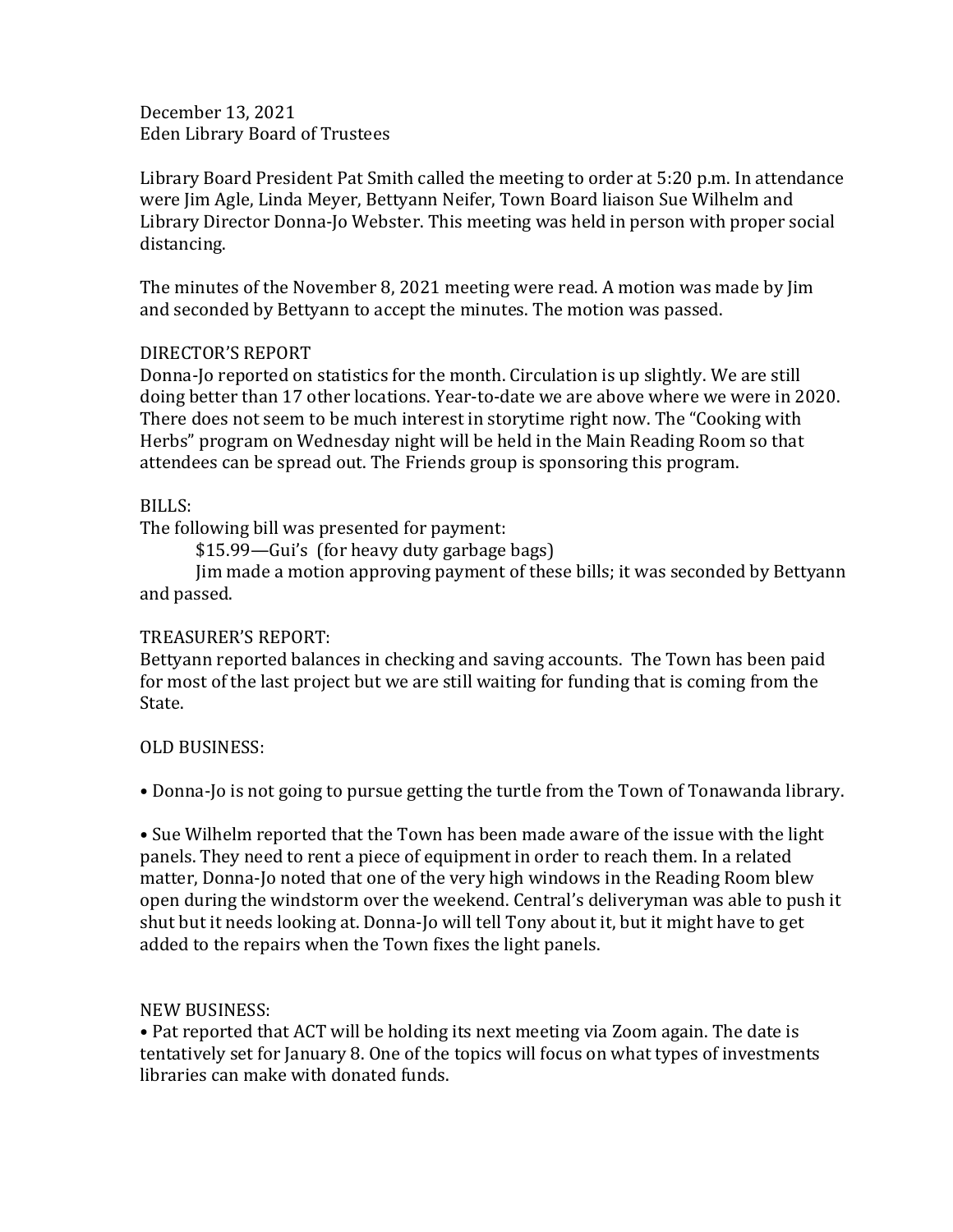December 13, 2021 Eden Library Board of Trustees

Library Board President Pat Smith called the meeting to order at 5:20 p.m. In attendance were Jim Agle, Linda Meyer, Bettyann Neifer, Town Board liaison Sue Wilhelm and Library Director Donna-Jo Webster. This meeting was held in person with proper social distancing.

The minutes of the November 8, 2021 meeting were read. A motion was made by Jim and seconded by Bettyann to accept the minutes. The motion was passed.

# DIRECTOR'S REPORT

Donna-Jo reported on statistics for the month. Circulation is up slightly. We are still doing better than 17 other locations. Year-to-date we are above where we were in 2020. There does not seem to be much interest in storytime right now. The "Cooking with Herbs" program on Wednesday night will be held in the Main Reading Room so that attendees can be spread out. The Friends group is sponsoring this program.

## BILLS:

The following bill was presented for payment:

\$15.99—Gui's (for heavy duty garbage bags)

Jim made a motion approving payment of these bills; it was seconded by Bettyann and passed.

# TREASURER'S REPORT:

Bettyann reported balances in checking and saving accounts. The Town has been paid for most of the last project but we are still waiting for funding that is coming from the State.

# OLD BUSINESS:

• Donna-Jo is not going to pursue getting the turtle from the Town of Tonawanda library.

• Sue Wilhelm reported that the Town has been made aware of the issue with the light panels. They need to rent a piece of equipment in order to reach them. In a related matter, Donna-Jo noted that one of the very high windows in the Reading Room blew open during the windstorm over the weekend. Central's deliveryman was able to push it shut but it needs looking at. Donna-Jo will tell Tony about it, but it might have to get added to the repairs when the Town fixes the light panels.

# NEW BUSINESS:

• Pat reported that ACT will be holding its next meeting via Zoom again. The date is tentatively set for January 8. One of the topics will focus on what types of investments libraries can make with donated funds.